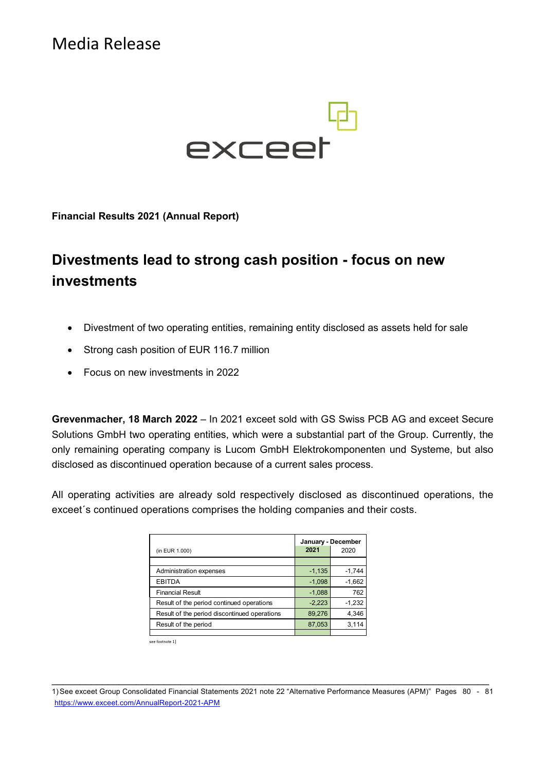Media Release



**Financial Results 2021 (Annual Report)** 

# **Divestments lead to strong cash position - focus on new investments**

- Divestment of two operating entities, remaining entity disclosed as assets held for sale
- Strong cash position of EUR 116.7 million
- Focus on new investments in 2022

**Grevenmacher, 18 March 2022** – In 2021 exceet sold with GS Swiss PCB AG and exceet Secure Solutions GmbH two operating entities, which were a substantial part of the Group. Currently, the only remaining operating company is Lucom GmbH Elektrokomponenten und Systeme, but also disclosed as discontinued operation because of a current sales process.

All operating activities are already sold respectively disclosed as discontinued operations, the exceet´s continued operations comprises the holding companies and their costs.

| (in EUR 1.000)                               | 2021     | January - December<br>2020 |
|----------------------------------------------|----------|----------------------------|
|                                              |          |                            |
| Administration expenses                      | $-1,135$ | $-1,744$                   |
| <b>EBITDA</b>                                | $-1,098$ | $-1,662$                   |
| <b>Financial Result</b>                      | $-1,088$ | 762                        |
| Result of the period continued operations    | $-2,223$ | $-1,232$                   |
| Result of the period discontinued operations | 89,276   | 4,346                      |
| Result of the period                         | 87,053   | 3,114                      |
|                                              |          |                            |

see footnote 1)

 $\_$  , and the contribution of the contribution of  $\mathcal{L}_\mathcal{A}$  , and the contribution of  $\mathcal{L}_\mathcal{A}$ 1) See exceet Group Consolidated Financial Statements 2021 note 22 "Alternative Performance Measures (APM)" Pages 80 - 81 https://www.exceet.com/AnnualReport-2021-APM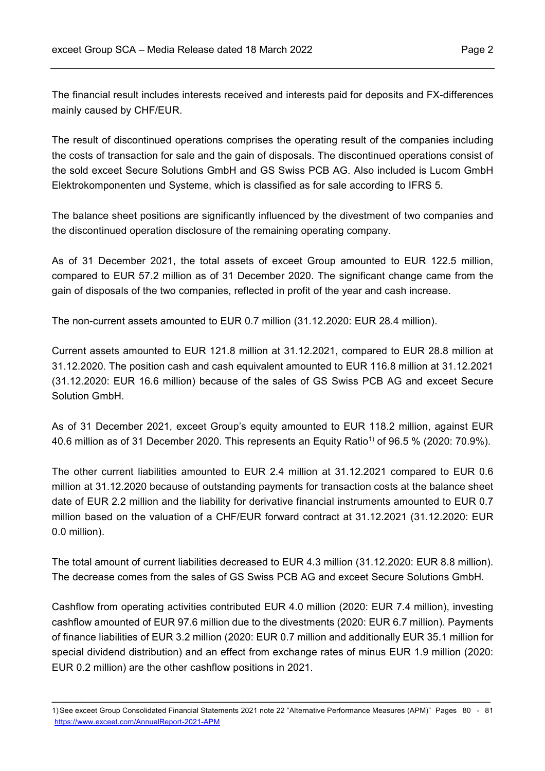The financial result includes interests received and interests paid for deposits and FX-differences mainly caused by CHF/EUR.

The result of discontinued operations comprises the operating result of the companies including the costs of transaction for sale and the gain of disposals. The discontinued operations consist of the sold exceet Secure Solutions GmbH and GS Swiss PCB AG. Also included is Lucom GmbH Elektrokomponenten und Systeme, which is classified as for sale according to IFRS 5.

The balance sheet positions are significantly influenced by the divestment of two companies and the discontinued operation disclosure of the remaining operating company.

As of 31 December 2021, the total assets of exceet Group amounted to EUR 122.5 million, compared to EUR 57.2 million as of 31 December 2020. The significant change came from the gain of disposals of the two companies, reflected in profit of the year and cash increase.

The non-current assets amounted to EUR 0.7 million (31.12.2020: EUR 28.4 million).

Current assets amounted to EUR 121.8 million at 31.12.2021, compared to EUR 28.8 million at 31.12.2020. The position cash and cash equivalent amounted to EUR 116.8 million at 31.12.2021 (31.12.2020: EUR 16.6 million) because of the sales of GS Swiss PCB AG and exceet Secure Solution GmbH.

As of 31 December 2021, exceet Group's equity amounted to EUR 118.2 million, against EUR 40.6 million as of 31 December 2020. This represents an Equity Ratio<sup>1</sup> of 96.5 % (2020: 70.9%).

The other current liabilities amounted to EUR 2.4 million at 31.12.2021 compared to EUR 0.6 million at 31.12.2020 because of outstanding payments for transaction costs at the balance sheet date of EUR 2.2 million and the liability for derivative financial instruments amounted to EUR 0.7 million based on the valuation of a CHF/EUR forward contract at 31.12.2021 (31.12.2020: EUR 0.0 million).

The total amount of current liabilities decreased to EUR 4.3 million (31.12.2020: EUR 8.8 million). The decrease comes from the sales of GS Swiss PCB AG and exceet Secure Solutions GmbH.

Cashflow from operating activities contributed EUR 4.0 million (2020: EUR 7.4 million), investing cashflow amounted of EUR 97.6 million due to the divestments (2020: EUR 6.7 million). Payments of finance liabilities of EUR 3.2 million (2020: EUR 0.7 million and additionally EUR 35.1 million for special dividend distribution) and an effect from exchange rates of minus EUR 1.9 million (2020: EUR 0.2 million) are the other cashflow positions in 2021.

\_\_\_\_\_\_\_\_\_\_\_\_\_\_\_\_\_\_\_\_\_\_\_\_\_\_\_\_\_\_\_\_\_\_\_\_\_\_\_\_\_\_\_\_\_\_\_\_\_\_\_\_\_\_\_\_\_\_\_\_\_\_\_\_\_\_\_\_\_\_\_\_\_\_\_\_\_ 1) See exceet Group Consolidated Financial Statements 2021 note 22 "Alternative Performance Measures (APM)" Pages 80 - 81 https://www.exceet.com/AnnualReport-2021-APM